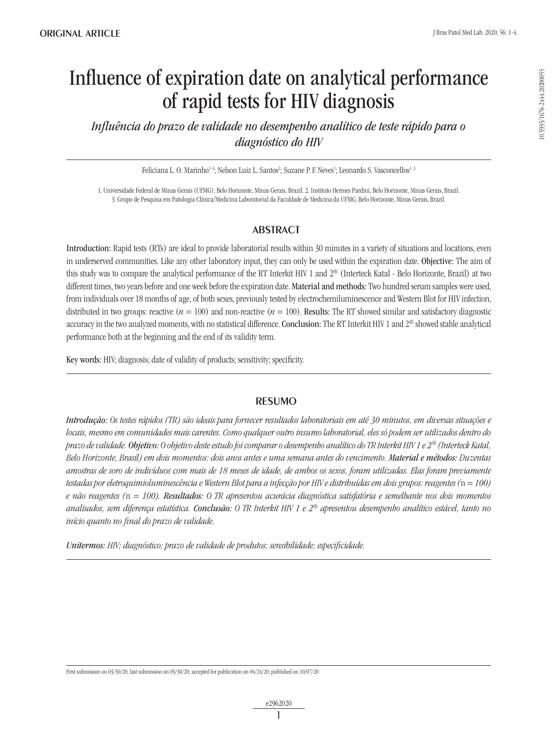# Influence of expiration date on analytical performance of rapid tests for HIV diagnosis

*Influência do prazo de validade no desempenho analítico de teste rápido para o diagnóstico do HIV*

Feliciana L. O. Marinho<sup>1-3</sup>; Nelson Luiz L. Santos<sup>2</sup>; Suzane P. F. Neves<sup>1</sup>; Leonardo S. Vasconcellos<sup>1, 3</sup>

1. Universidade Federal de Minas Gerais (UFMG), Belo Horizonte, Minas Gerais, Brazil. 2. Instituto Hermes Pardini, Belo Horizonte, Minas Gerais, Brazil. 3. Grupo de Pesquisa em Patologia Clínica/Medicina Laboratorial da Faculdade de Medicina da UFMG, Belo Horizonte, Minas Gerais, Brazil.

# ABSTRACT

Introduction: Rapid tests (RTs) are ideal to provide laboratorial results within 30 minutes in a variety of situations and locations, even in underserved communities. Like any other laboratory input, they can only be used within the expiration date. Objective: The aim of this study was to compare the analytical performance of the RT Interkit HIV 1 and 2® (Interteck Katal - Belo Horizonte, Brazil) at two different times, two years before and one week before the expiration date. Material and methods: Two hundred serum samples were used, from individuals over 18 months of age, of both sexes, previously tested by electrochemiluminescence and Western Blot for HIV infection, distributed in two groups: reactive  $(n = 100)$  and non-reactive  $(n = 100)$ . Results: The RT showed similar and satisfactory diagnostic accuracy in the two analyzed moments, with no statistical difference. Conclusion: The RT Interkit HIV 1 and 2® showed stable analytical performance both at the beginning and the end of its validity term.

Key words: HIV; diagnosis; date of validity of products; sensitivity; specificity.

## RESUMO

*Introdução: Os testes rápidos (TR) são ideais para fornecer resultados laboratoriais em até 30 minutos, em diversas situações e locais, mesmo em comunidades mais carentes. Como qualquer outro insumo laboratorial, eles só podem ser utilizados dentro do prazo de validade. Objetivo: O objetivo deste estudo foi comparar o desempenho analítico do TR Interkit HIV 1 e 2® (Interteck Katal, Belo Horizonte, Brasil) em dois momentos: dois anos antes e uma semana antes do vencimento. Material e métodos: Duzentas amostras de soro de indivíduos com mais de 18 meses de idade, de ambos os sexos, foram utilizadas. Elas foram previamente testadas por eletroquimioluminescência e Western Blot para a infecção por HIV e distribuídas em dois grupos: reagentes (*n *= 100) e não reagentes (*n *= 100). Resultados: O TR apresentou acurácia diagnóstica satisfatória e semelhante nos dois momentos analisados, sem diferença estatística. Conclusão: O TR Interkit HIV 1 e 2® apresentou desempenho analítico estável, tanto no início quanto no final do prazo de validade.*

*Unitermos: HIV; diagnóstico; prazo de validade de produtos; sensibilidade; especificidade.*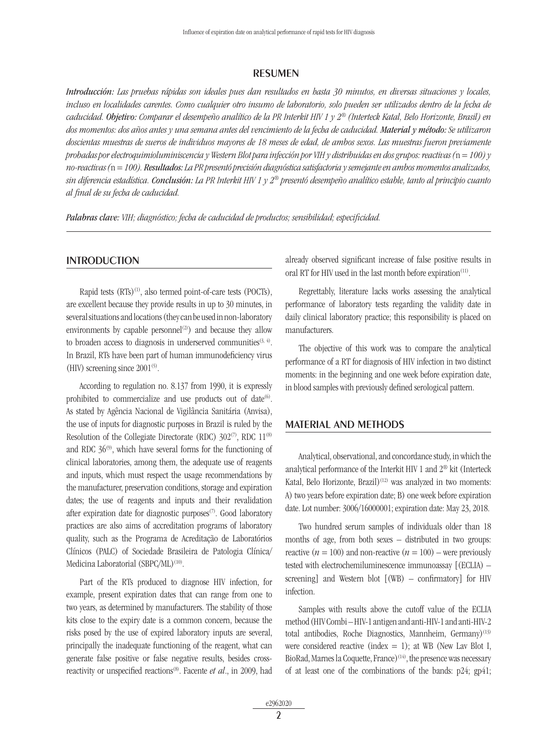### RESUMEN

*Introducción: Las pruebas rápidas son ideales pues dan resultados en hasta 30 minutos, en diversas situaciones y locales, incluso en localidades carentes. Como cualquier otro insumo de laboratorio, solo pueden ser utilizados dentro de la fecha de caducidad. Objetivo: Comparar el desempeño analítico de la PR Interkit HIV 1 y 2® (Interteck Katal, Belo Horizonte, Brasil) en dos momentos: dos años antes y una semana antes del vencimiento de la fecha de caducidad. Material y método: Se utilizaron doscientas muestras de sueros de individuos mayores de 18 meses de edad, de ambos sexos. Las muestras fueron previamente probadas por electroquimioluminiscencia y Western Blot para infección por VIH y distribuidas en dos grupos: reactivas (*n *= 100) y no-reactivas (*n *= 100). Resultados: La PR presentó precisión diagnóstica satisfactoria y semejante en ambos momentos analizados, sin diferencia estadística. Conclusión: La PR Interkit HIV 1 y 2® presentó desempeño analítico estable, tanto al principio cuanto al final de su fecha de caducidad.*

*Palabras clave: VIH; diagnóstico; fecha de caducidad de productos; sensibilidad; especificidad.*

#### **INTRODUCTION**

Rapid tests  $(RTS)^{(1)}$ , also termed point-of-care tests  $(POCTs)$ , are excellent because they provide results in up to 30 minutes, in several situations and locations (they can be used in non-laboratory environments by capable personnel<sup>(2)</sup>) and because they allow to broaden access to diagnosis in underserved communities $(3, 4)$ . In Brazil, RTs have been part of human immunodeficiency virus (HIV) screening since  $2001^{(5)}$ .

According to regulation no. 8.137 from 1990, it is expressly prohibited to commercialize and use products out of date<sup>(6)</sup>. As stated by Agência Nacional de Vigilância Sanitária (Anvisa), the use of inputs for diagnostic purposes in Brazil is ruled by the Resolution of the Collegiate Directorate (RDC)  $302^{(7)}$ , RDC  $11^{(8)}$ and RDC  $36\%$ , which have several forms for the functioning of clinical laboratories, among them, the adequate use of reagents and inputs, which must respect the usage recommendations by the manufacturer, preservation conditions, storage and expiration dates; the use of reagents and inputs and their revalidation after expiration date for diagnostic purposes $(7)$ . Good laboratory practices are also aims of accreditation programs of laboratory quality, such as the Programa de Acreditação de Laboratórios Clínicos (PALC) of Sociedade Brasileira de Patologia Clínica/ Medicina Laboratorial (SBPC/ML)<sup>(10)</sup>.

Part of the RTs produced to diagnose HIV infection, for example, present expiration dates that can range from one to two years, as determined by manufacturers. The stability of those kits close to the expiry date is a common concern, because the risks posed by the use of expired laboratory inputs are several, principally the inadequate functioning of the reagent, what can generate false positive or false negative results, besides crossreactivity or unspecified reactions<sup>(8)</sup>. Facente *et al.*, in 2009, had already observed significant increase of false positive results in oral RT for HIV used in the last month before expiration<sup>(11)</sup>.

Regrettably, literature lacks works assessing the analytical performance of laboratory tests regarding the validity date in daily clinical laboratory practice; this responsibility is placed on manufacturers.

The objective of this work was to compare the analytical performance of a RT for diagnosis of HIV infection in two distinct moments: in the beginning and one week before expiration date, in blood samples with previously defined serological pattern.

#### MATERIAL AND METHODS

Analytical, observational, and concordance study, in which the analytical performance of the Interkit HIV 1 and 2® kit (Interteck Katal, Belo Horizonte, Brazil)<sup>(12)</sup> was analyzed in two moments: A) two years before expiration date; B) one week before expiration date. Lot number: 3006/16000001; expiration date: May 23, 2018.

Two hundred serum samples of individuals older than 18 months of age, from both sexes – distributed in two groups: reactive ( $n = 100$ ) and non-reactive ( $n = 100$ ) – were previously tested with electrochemiluminescence immunoassay [(ECLIA) – screening] and Western blot [(WB) – confirmatory] for HIV infection.

Samples with results above the cutoff value of the ECLIA method (HIV Combi – HIV-1 antigen and anti-HIV-1 and anti-HIV-2 total antibodies, Roche Diagnostics, Mannheim, Germany)<sup>(13)</sup> were considered reactive (index  $= 1$ ); at WB (New Lav Blot I, BioRad, Marnes la Coquette, France)<sup>(14)</sup>, the presence was necessary of at least one of the combinations of the bands: p24; gp41;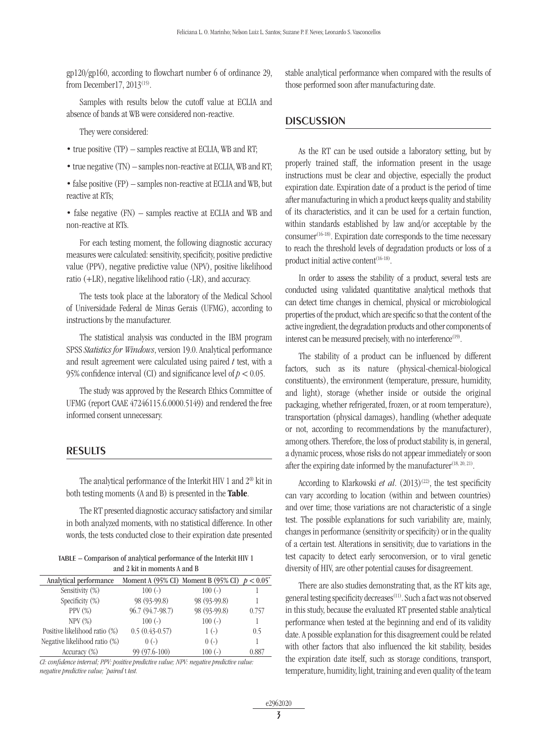gp120/gp160, according to flowchart number 6 of ordinance 29, from December17,  $2013^{(15)}$ .

Samples with results below the cutoff value at ECLIA and absence of bands at WB were considered non-reactive.

They were considered:

- true positive (TP) samples reactive at ECLIA, WB and RT;
- true negative (TN) samples non-reactive at ECLIA, WB and RT;
- false positive (FP) samples non-reactive at ECLIA and WB, but reactive at RTs;

• false negative (FN) – samples reactive at ECLIA and WB and non-reactive at RTs.

For each testing moment, the following diagnostic accuracy measures were calculated: sensitivity, specificity, positive predictive value (PPV), negative predictive value (NPV), positive likelihood ratio (+LR), negative likelihood ratio (-LR), and accuracy.

The tests took place at the laboratory of the Medical School of Universidade Federal de Minas Gerais (UFMG), according to instructions by the manufacturer.

The statistical analysis was conducted in the IBM program SPSS *Statistics for Windows*, version 19.0. Analytical performance and result agreement were calculated using paired *t* test, with a 95% confidence interval (CI) and significance level of  $p < 0.05$ .

The study was approved by the Research Ethics Committee of UFMG (report CAAE 47246115.6.0000.5149) and rendered the free informed consent unnecessary.

### RESULTS

The analytical performance of the Interkit HIV 1 and 2® kit in both testing moments (A and B) is presented in the Table.

The RT presented diagnostic accuracy satisfactory and similar in both analyzed moments, with no statistical difference. In other words, the tests conducted close to their expiration date presented

| TABLE - Comparison of analytical performance of the Interkit HIV 1 |  |
|--------------------------------------------------------------------|--|
| and 2 kit in moments A and B                                       |  |

| Analytical performance        |                  | Moment A (95% CI) Moment B (95% CI) $p < 0.05$ <sup>*</sup> |       |
|-------------------------------|------------------|-------------------------------------------------------------|-------|
| Sensitivity (%)               | $100(-)$         | $100(-)$                                                    |       |
| Specificity (%)               | 98 (93-99.8)     | 98 (93-99.8)                                                |       |
| PPV $(\%)$                    | 96.7 (94.7-98.7) | 98 (93-99.8)                                                | 0.757 |
| NPV(%)                        | $100(-)$         | $100(-)$                                                    |       |
| Positive likelihood ratio (%) | $0.5(0.43-0.57)$ | $1(-)$                                                      | 0.5   |
| Negative likelihood ratio (%) | $0(-)$           | $0(-)$                                                      |       |
| Accuracy $(\%)$               | 99 (97.6-100)    | $100(-)$                                                    | 0.887 |

*CI: confidence interval; PPV: positive predictive value; NPV: negative predictive value: negative predictive value; \* paired* t *test.*

stable analytical performance when compared with the results of those performed soon after manufacturing date.

#### **DISCUSSION**

As the RT can be used outside a laboratory setting, but by properly trained staff, the information present in the usage instructions must be clear and objective, especially the product expiration date. Expiration date of a product is the period of time after manufacturing in which a product keeps quality and stability of its characteristics, and it can be used for a certain function, within standards established by law and/or acceptable by the  $\text{cosumer}^{(16-18)}$ . Expiration date corresponds to the time necessary to reach the threshold levels of degradation products or loss of a product initial active content<sup>(16-18)</sup>.

In order to assess the stability of a product, several tests are conducted using validated quantitative analytical methods that can detect time changes in chemical, physical or microbiological properties of the product, which are specific so that the content of the active ingredient, the degradation products and other components of interest can be measured precisely, with no interference<sup>(19)</sup>.

The stability of a product can be influenced by different factors, such as its nature (physical-chemical-biological constituents), the environment (temperature, pressure, humidity, and light), storage (whether inside or outside the original packaging, whether refrigerated, frozen, or at room temperature), transportation (physical damages), handling (whether adequate or not, according to recommendations by the manufacturer), among others. Therefore, the loss of product stability is, in general, a dynamic process, whose risks do not appear immediately or soon after the expiring date informed by the manufacturer<sup> $(18, 20, 21)$ </sup>.

According to Klarkowski *et al.*  $(2013)^{(22)}$ , the test specificity can vary according to location (within and between countries) and over time; those variations are not characteristic of a single test. The possible explanations for such variability are, mainly, changes in performance (sensitivity or specificity) or in the quality of a certain test. Alterations in sensitivity, due to variations in the test capacity to detect early seroconversion, or to viral genetic diversity of HIV, are other potential causes for disagreement.

There are also studies demonstrating that, as the RT kits age, general testing specificity decreases<sup>(11)</sup>. Such a fact was not observed in this study, because the evaluated RT presented stable analytical performance when tested at the beginning and end of its validity date. A possible explanation for this disagreement could be related with other factors that also influenced the kit stability, besides the expiration date itself, such as storage conditions, transport, temperature, humidity, light, training and even quality of the team